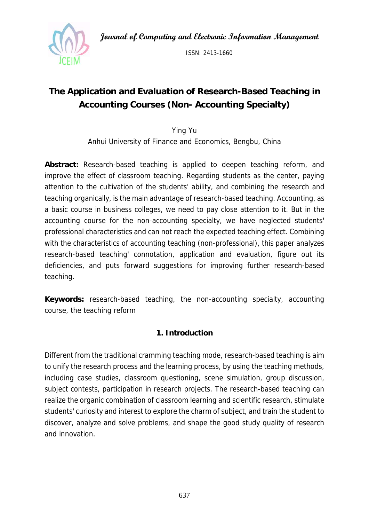**Journal of Computing and Electronic Information Management** 



ISSN: 2413-1660

# **The Application and Evaluation of Research-Based Teaching in Accounting Courses (Non- Accounting Specialty)**

Ying Yu

Anhui University of Finance and Economics, Bengbu, China

**Abstract:** Research-based teaching is applied to deepen teaching reform, and improve the effect of classroom teaching. Regarding students as the center, paying attention to the cultivation of the students' ability, and combining the research and teaching organically, is the main advantage of research-based teaching. Accounting, as a basic course in business colleges, we need to pay close attention to it. But in the accounting course for the non-accounting specialty, we have neglected students' professional characteristics and can not reach the expected teaching effect. Combining with the characteristics of accounting teaching (non-professional), this paper analyzes research-based teaching' connotation, application and evaluation, figure out its deficiencies, and puts forward suggestions for improving further research-based teaching.

**Keywords:** research-based teaching, the non-accounting specialty, accounting course, the teaching reform

# **1. Introduction**

Different from the traditional cramming teaching mode, research-based teaching is aim to unify the research process and the learning process, by using the teaching methods, including case studies, classroom questioning, scene simulation, group discussion, subject contests, participation in research projects. The research-based teaching can realize the organic combination of classroom learning and scientific research, stimulate students' curiosity and interest to explore the charm of subject, and train the student to discover, analyze and solve problems, and shape the good study quality of research and innovation.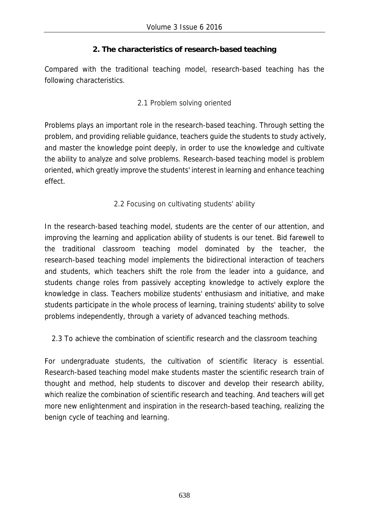# **2. The characteristics of research-based teaching**

Compared with the traditional teaching model, research-based teaching has the following characteristics.

# 2.1 Problem solving oriented

Problems plays an important role in the research-based teaching. Through setting the problem, and providing reliable guidance, teachers guide the students to study actively, and master the knowledge point deeply, in order to use the knowledge and cultivate the ability to analyze and solve problems. Research-based teaching model is problem oriented, which greatly improve the students' interest in learning and enhance teaching effect.

# 2.2 Focusing on cultivating students' ability

In the research-based teaching model, students are the center of our attention, and improving the learning and application ability of students is our tenet. Bid farewell to the traditional classroom teaching model dominated by the teacher, the research-based teaching model implements the bidirectional interaction of teachers and students, which teachers shift the role from the leader into a guidance, and students change roles from passively accepting knowledge to actively explore the knowledge in class. Teachers mobilize students' enthusiasm and initiative, and make students participate in the whole process of learning, training students' ability to solve problems independently, through a variety of advanced teaching methods.

2.3 To achieve the combination of scientific research and the classroom teaching

For undergraduate students, the cultivation of scientific literacy is essential. Research-based teaching model make students master the scientific research train of thought and method, help students to discover and develop their research ability, which realize the combination of scientific research and teaching. And teachers will get more new enlightenment and inspiration in the research-based teaching, realizing the benign cycle of teaching and learning.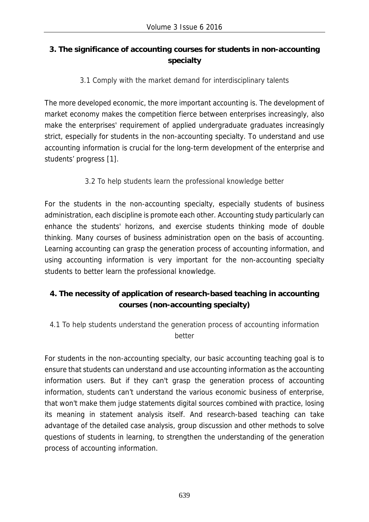# **3. The significance of accounting courses for students in non-accounting specialty**

3.1 Comply with the market demand for interdisciplinary talents

The more developed economic, the more important accounting is. The development of market economy makes the competition fierce between enterprises increasingly, also make the enterprises' requirement of applied undergraduate graduates increasingly strict, especially for students in the non-accounting specialty. To understand and use accounting information is crucial for the long-term development of the enterprise and students' progress [1].

3.2 To help students learn the professional knowledge better

For the students in the non-accounting specialty, especially students of business administration, each discipline is promote each other. Accounting study particularly can enhance the students' horizons, and exercise students thinking mode of double thinking. Many courses of business administration open on the basis of accounting. Learning accounting can grasp the generation process of accounting information, and using accounting information is very important for the non-accounting specialty students to better learn the professional knowledge.

# **4. The necessity of application of research-based teaching in accounting courses (non-accounting specialty)**

4.1 To help students understand the generation process of accounting information better

For students in the non-accounting specialty, our basic accounting teaching goal is to ensure that students can understand and use accounting information as the accounting information users. But if they can't grasp the generation process of accounting information, students can't understand the various economic business of enterprise, that won't make them judge statements digital sources combined with practice, losing its meaning in statement analysis itself. And research-based teaching can take advantage of the detailed case analysis, group discussion and other methods to solve questions of students in learning, to strengthen the understanding of the generation process of accounting information.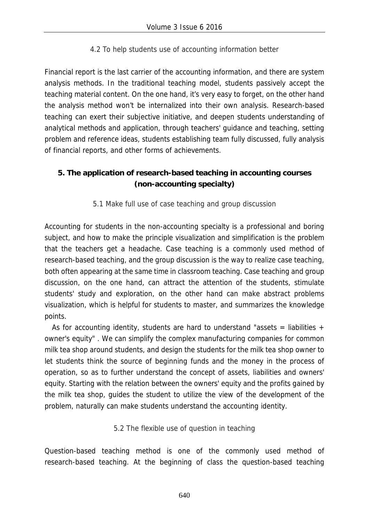4.2 To help students use of accounting information better

Financial report is the last carrier of the accounting information, and there are system analysis methods. In the traditional teaching model, students passively accept the teaching material content. On the one hand, it's very easy to forget, on the other hand the analysis method won't be internalized into their own analysis. Research-based teaching can exert their subjective initiative, and deepen students understanding of analytical methods and application, through teachers' guidance and teaching, setting problem and reference ideas, students establishing team fully discussed, fully analysis of financial reports, and other forms of achievements.

# **5. The application of research-based teaching in accounting courses (non-accounting specialty)**

5.1 Make full use of case teaching and group discussion

Accounting for students in the non-accounting specialty is a professional and boring subject, and how to make the principle visualization and simplification is the problem that the teachers get a headache. Case teaching is a commonly used method of research-based teaching, and the group discussion is the way to realize case teaching, both often appearing at the same time in classroom teaching. Case teaching and group discussion, on the one hand, can attract the attention of the students, stimulate students' study and exploration, on the other hand can make abstract problems visualization, which is helpful for students to master, and summarizes the knowledge points.

As for accounting identity, students are hard to understand "assets = liabilities + owner's equity" . We can simplify the complex manufacturing companies for common milk tea shop around students, and design the students for the milk tea shop owner to let students think the source of beginning funds and the money in the process of operation, so as to further understand the concept of assets, liabilities and owners' equity. Starting with the relation between the owners' equity and the profits gained by the milk tea shop, guides the student to utilize the view of the development of the problem, naturally can make students understand the accounting identity.

5.2 The flexible use of question in teaching

Question-based teaching method is one of the commonly used method of research-based teaching. At the beginning of class the question-based teaching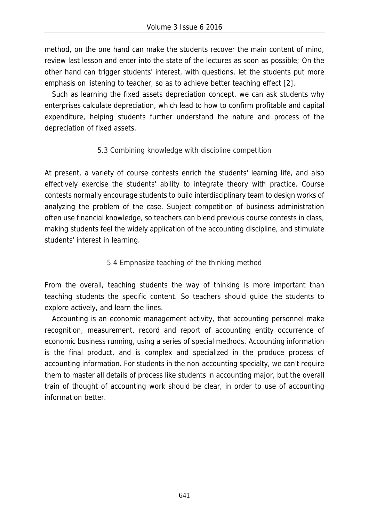method, on the one hand can make the students recover the main content of mind, review last lesson and enter into the state of the lectures as soon as possible; On the other hand can trigger students' interest, with questions, let the students put more emphasis on listening to teacher, so as to achieve better teaching effect [2].

Such as learning the fixed assets depreciation concept, we can ask students why enterprises calculate depreciation, which lead to how to confirm profitable and capital expenditure, helping students further understand the nature and process of the depreciation of fixed assets.

#### 5.3 Combining knowledge with discipline competition

At present, a variety of course contests enrich the students' learning life, and also effectively exercise the students' ability to integrate theory with practice. Course contests normally encourage students to build interdisciplinary team to design works of analyzing the problem of the case. Subject competition of business administration often use financial knowledge, so teachers can blend previous course contests in class, making students feel the widely application of the accounting discipline, and stimulate students' interest in learning.

#### 5.4 Emphasize teaching of the thinking method

From the overall, teaching students the way of thinking is more important than teaching students the specific content. So teachers should guide the students to explore actively, and learn the lines.

Accounting is an economic management activity, that accounting personnel make recognition, measurement, record and report of accounting entity occurrence of economic business running, using a series of special methods. Accounting information is the final product, and is complex and specialized in the produce process of accounting information. For students in the non-accounting specialty, we can't require them to master all details of process like students in accounting major, but the overall train of thought of accounting work should be clear, in order to use of accounting information better.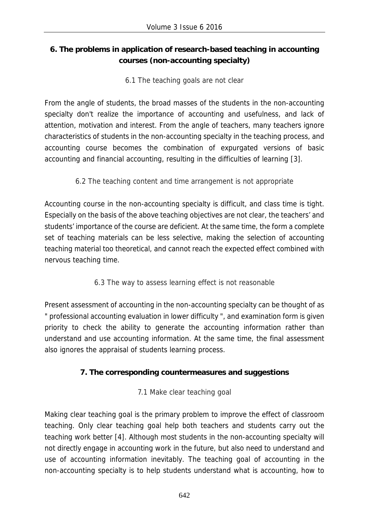# **6. The problems in application of research-based teaching in accounting courses (non-accounting specialty)**

6.1 The teaching goals are not clear

From the angle of students, the broad masses of the students in the non-accounting specialty don't realize the importance of accounting and usefulness, and lack of attention, motivation and interest. From the angle of teachers, many teachers ignore characteristics of students in the non-accounting specialty in the teaching process, and accounting course becomes the combination of expurgated versions of basic accounting and financial accounting, resulting in the difficulties of learning [3].

6.2 The teaching content and time arrangement is not appropriate

Accounting course in the non-accounting specialty is difficult, and class time is tight. Especially on the basis of the above teaching objectives are not clear, the teachers' and students' importance of the course are deficient. At the same time, the form a complete set of teaching materials can be less selective, making the selection of accounting teaching material too theoretical, and cannot reach the expected effect combined with nervous teaching time.

6.3 The way to assess learning effect is not reasonable

Present assessment of accounting in the non-accounting specialty can be thought of as " professional accounting evaluation in lower difficulty ", and examination form is given priority to check the ability to generate the accounting information rather than understand and use accounting information. At the same time, the final assessment also ignores the appraisal of students learning process.

# **7. The corresponding countermeasures and suggestions**

7.1 Make clear teaching goal

Making clear teaching goal is the primary problem to improve the effect of classroom teaching. Only clear teaching goal help both teachers and students carry out the teaching work better [4]. Although most students in the non-accounting specialty will not directly engage in accounting work in the future, but also need to understand and use of accounting information inevitably. The teaching goal of accounting in the non-accounting specialty is to help students understand what is accounting, how to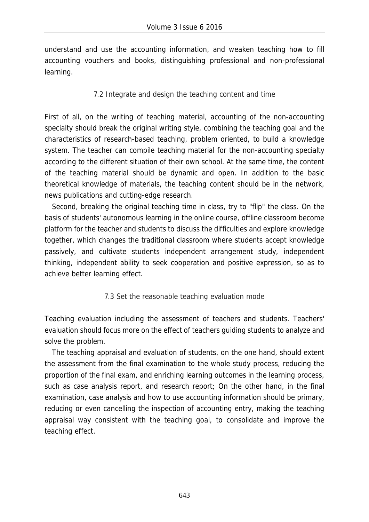understand and use the accounting information, and weaken teaching how to fill accounting vouchers and books, distinguishing professional and non-professional learning.

# 7.2 Integrate and design the teaching content and time

First of all, on the writing of teaching material, accounting of the non-accounting specialty should break the original writing style, combining the teaching goal and the characteristics of research-based teaching, problem oriented, to build a knowledge system. The teacher can compile teaching material for the non-accounting specialty according to the different situation of their own school. At the same time, the content of the teaching material should be dynamic and open. In addition to the basic theoretical knowledge of materials, the teaching content should be in the network, news publications and cutting-edge research.

Second, breaking the original teaching time in class, try to "flip" the class. On the basis of students' autonomous learning in the online course, offline classroom become platform for the teacher and students to discuss the difficulties and explore knowledge together, which changes the traditional classroom where students accept knowledge passively, and cultivate students independent arrangement study, independent thinking, independent ability to seek cooperation and positive expression, so as to achieve better learning effect.

# 7.3 Set the reasonable teaching evaluation mode

Teaching evaluation including the assessment of teachers and students. Teachers' evaluation should focus more on the effect of teachers guiding students to analyze and solve the problem.

The teaching appraisal and evaluation of students, on the one hand, should extent the assessment from the final examination to the whole study process, reducing the proportion of the final exam, and enriching learning outcomes in the learning process, such as case analysis report, and research report; On the other hand, in the final examination, case analysis and how to use accounting information should be primary, reducing or even cancelling the inspection of accounting entry, making the teaching appraisal way consistent with the teaching goal, to consolidate and improve the teaching effect.